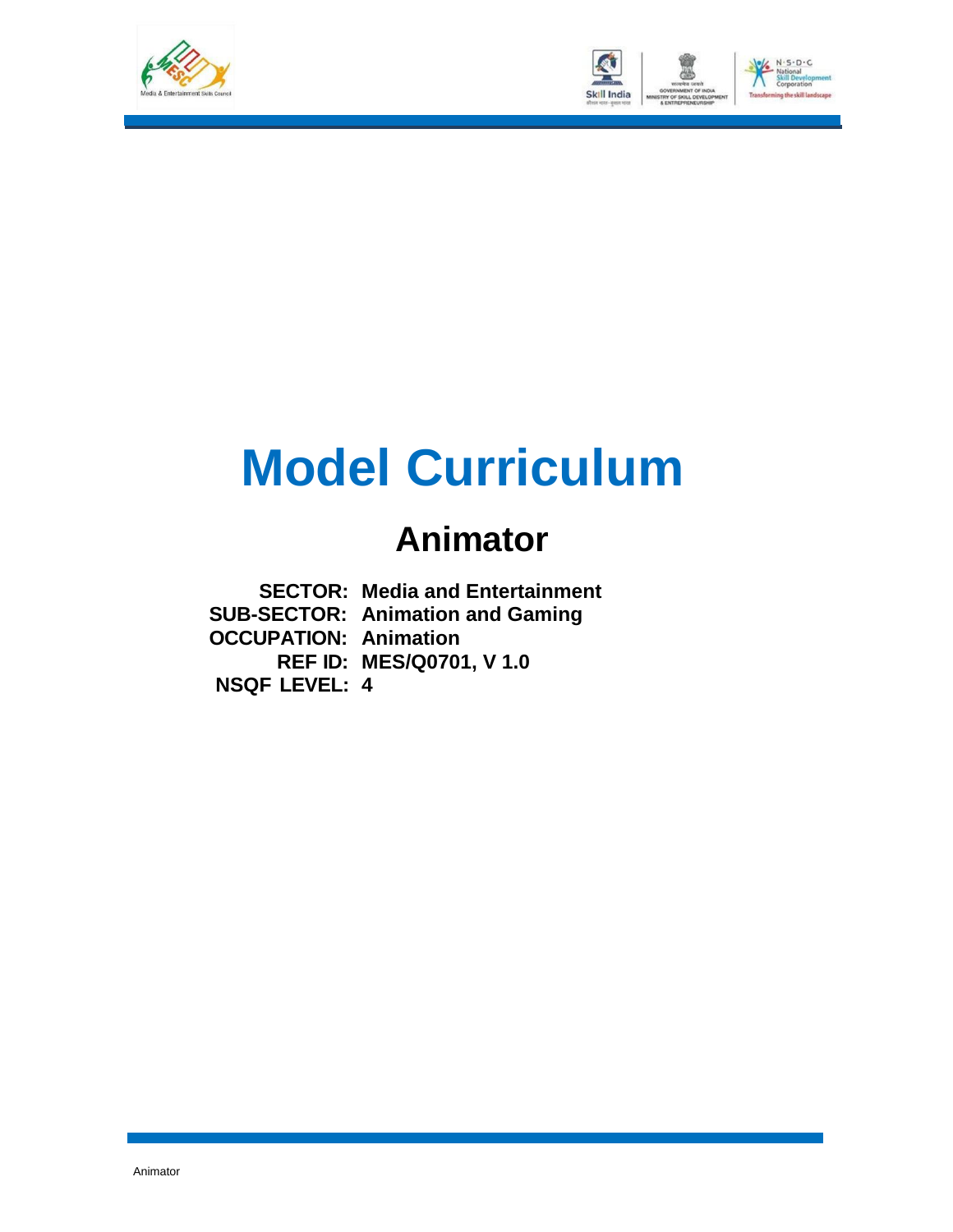



# **Model Curriculum**

### **Animator**

**SECTOR: Media and Entertainment SUB-SECTOR: Animation and Gaming OCCUPATION: Animation REF ID: MES/Q0701, V 1.0 NSQF LEVEL: 4**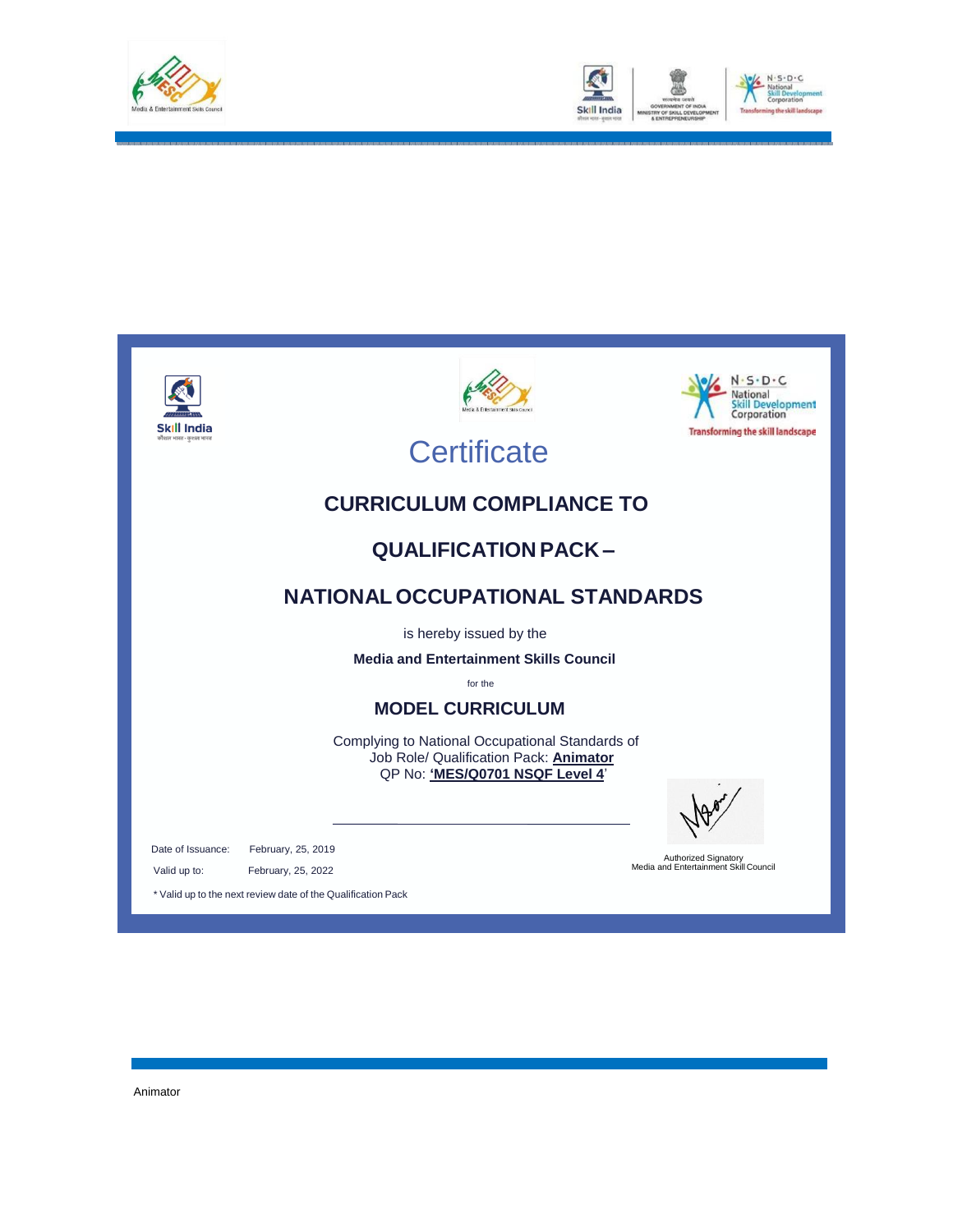





Animator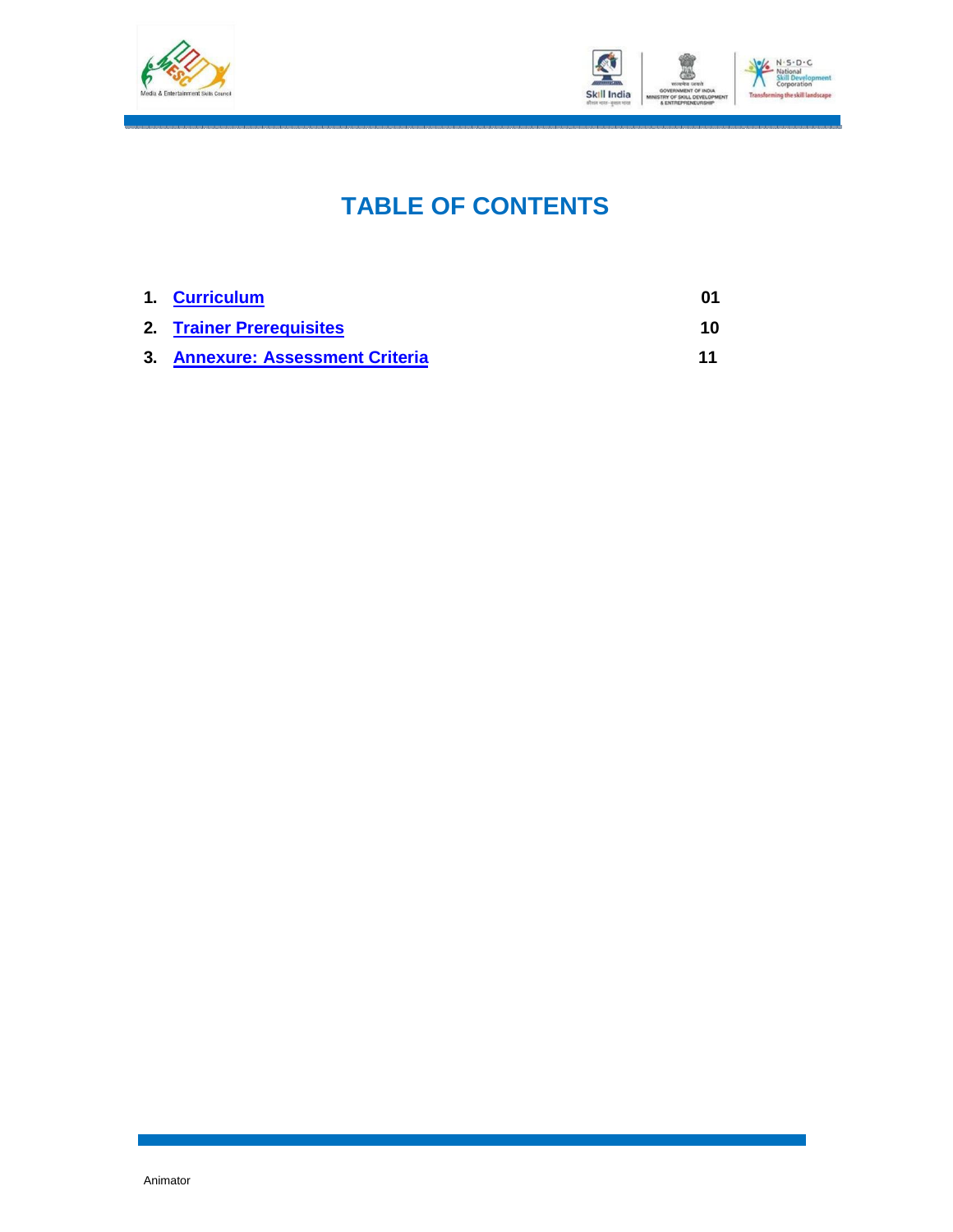



### **TABLE OF CONTENTS**

| 1. Curriculum                    |    |
|----------------------------------|----|
| 2. Trainer Prerequisites         | 10 |
| 3. Annexure: Assessment Criteria | 11 |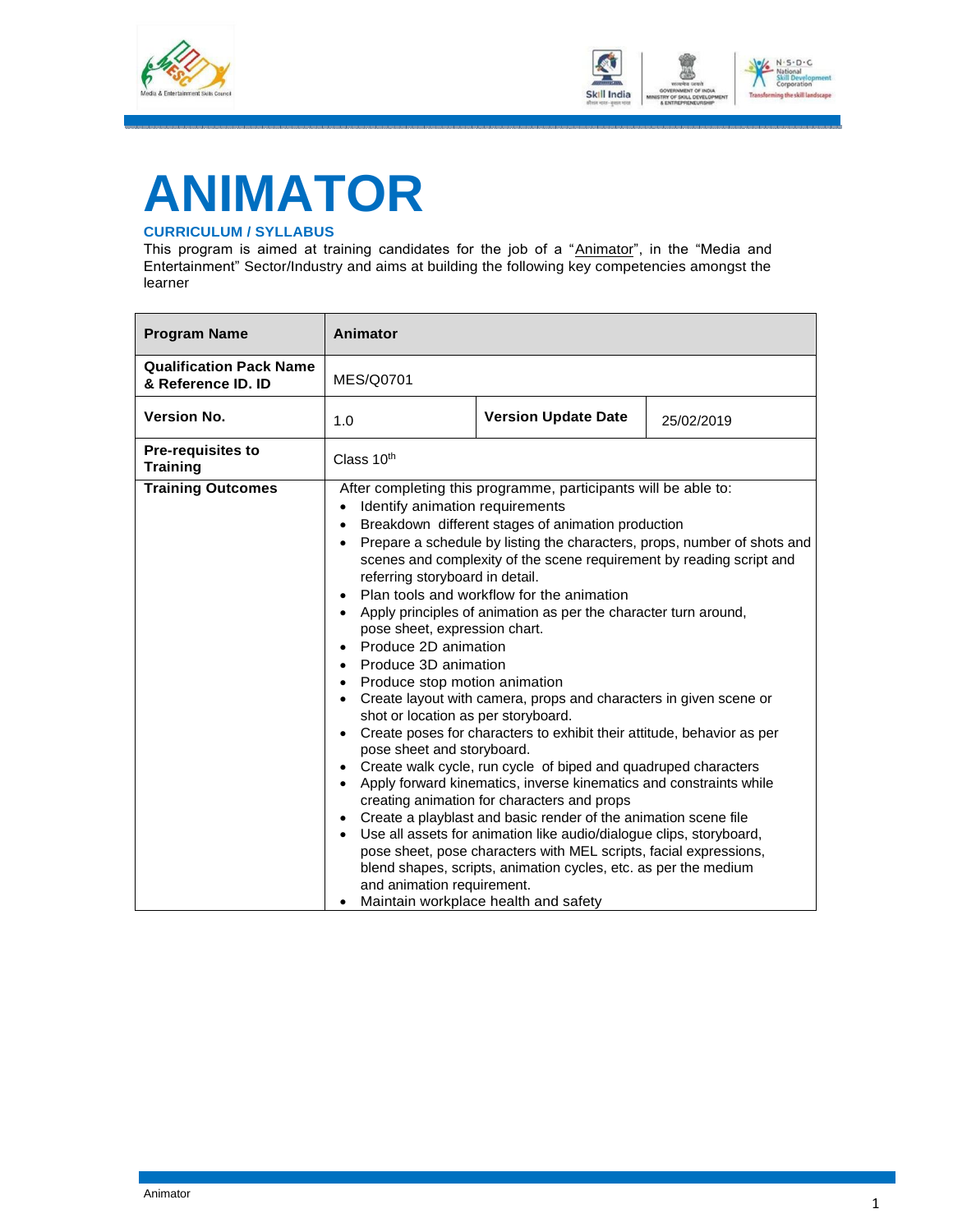



# <span id="page-3-0"></span>**ANIMATOR**

#### **CURRICULUM / SYLLABUS**

This program is aimed at training candidates for the job of a "Animator", in the "Media and Entertainment" Sector/Industry and aims at building the following key competencies amongst the learner

| <b>Program Name</b>                                  | <b>Animator</b>                                                                                                                                                                                                                                                                                                                |                                                                                                                                                                                                                                                                                                                                                                                                                                                                                                                                                                                                                                                                                                                                                                                                                                                                                                                                                                              |                                                                          |
|------------------------------------------------------|--------------------------------------------------------------------------------------------------------------------------------------------------------------------------------------------------------------------------------------------------------------------------------------------------------------------------------|------------------------------------------------------------------------------------------------------------------------------------------------------------------------------------------------------------------------------------------------------------------------------------------------------------------------------------------------------------------------------------------------------------------------------------------------------------------------------------------------------------------------------------------------------------------------------------------------------------------------------------------------------------------------------------------------------------------------------------------------------------------------------------------------------------------------------------------------------------------------------------------------------------------------------------------------------------------------------|--------------------------------------------------------------------------|
| <b>Qualification Pack Name</b><br>& Reference ID. ID | <b>MES/Q0701</b>                                                                                                                                                                                                                                                                                                               |                                                                                                                                                                                                                                                                                                                                                                                                                                                                                                                                                                                                                                                                                                                                                                                                                                                                                                                                                                              |                                                                          |
| <b>Version No.</b>                                   | 1.0                                                                                                                                                                                                                                                                                                                            | <b>Version Update Date</b>                                                                                                                                                                                                                                                                                                                                                                                                                                                                                                                                                                                                                                                                                                                                                                                                                                                                                                                                                   | 25/02/2019                                                               |
| <b>Pre-requisites to</b><br><b>Training</b>          | Class 10th                                                                                                                                                                                                                                                                                                                     |                                                                                                                                                                                                                                                                                                                                                                                                                                                                                                                                                                                                                                                                                                                                                                                                                                                                                                                                                                              |                                                                          |
| <b>Training Outcomes</b>                             | Identify animation requirements<br>referring storyboard in detail.<br>pose sheet, expression chart.<br>Produce 2D animation<br>Produce 3D animation<br>Produce stop motion animation<br>$\bullet$<br>shot or location as per storyboard.<br>$\bullet$<br>pose sheet and storyboard.<br>$\bullet$<br>and animation requirement. | After completing this programme, participants will be able to:<br>Breakdown different stages of animation production<br>scenes and complexity of the scene requirement by reading script and<br>Plan tools and workflow for the animation<br>Apply principles of animation as per the character turn around,<br>Create layout with camera, props and characters in given scene or<br>Create poses for characters to exhibit their attitude, behavior as per<br>Create walk cycle, run cycle of biped and quadruped characters<br>Apply forward kinematics, inverse kinematics and constraints while<br>creating animation for characters and props<br>Create a playblast and basic render of the animation scene file<br>Use all assets for animation like audio/dialogue clips, storyboard,<br>pose sheet, pose characters with MEL scripts, facial expressions,<br>blend shapes, scripts, animation cycles, etc. as per the medium<br>Maintain workplace health and safety | Prepare a schedule by listing the characters, props, number of shots and |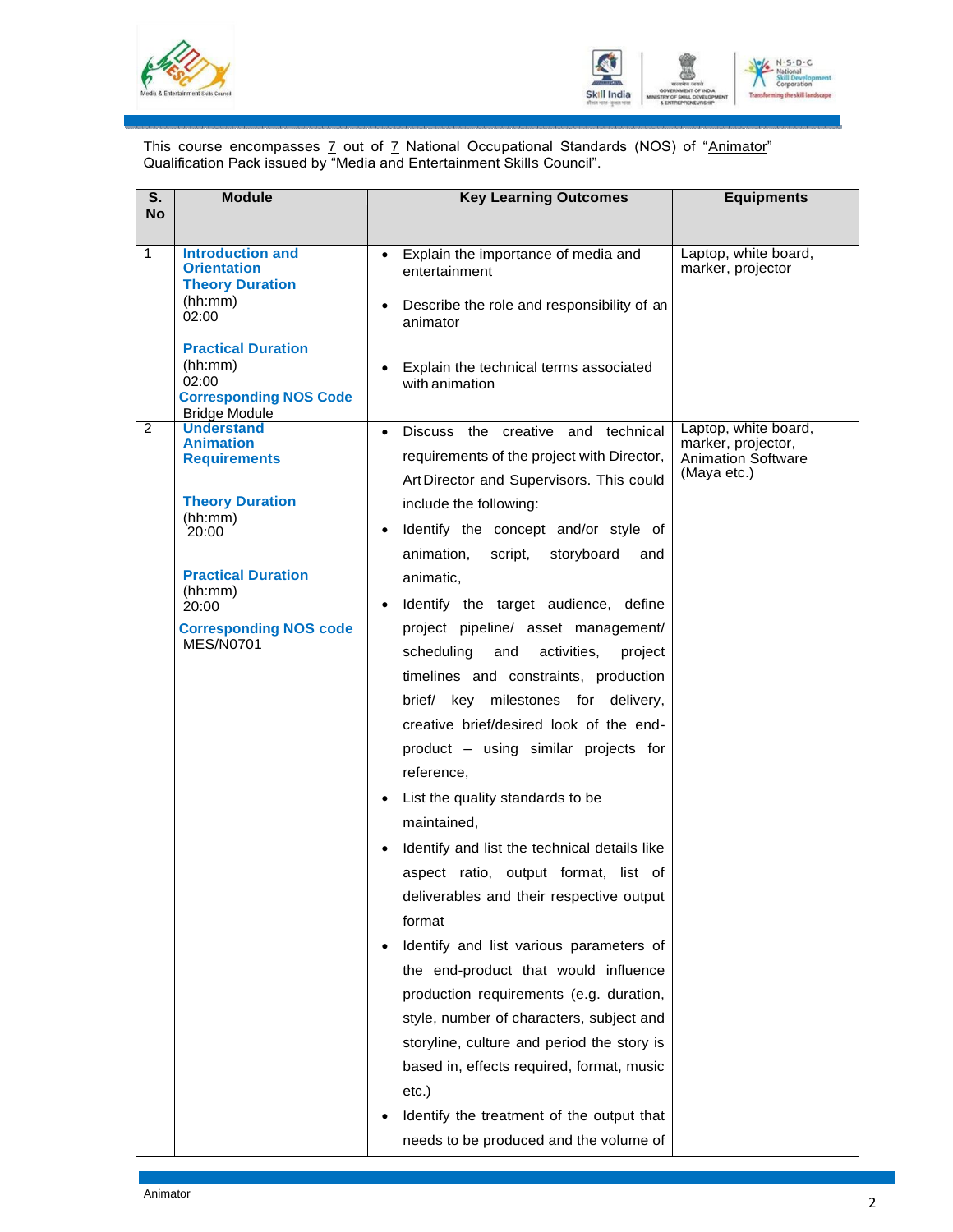



This course encompasses 7 out of 7 National Occupational Standards (NOS) of "Animator" Qualification Pack issued by "Media and Entertainment Skills Council".

| S.<br><b>Module</b><br><b>No</b>                                                                                                                                                                                      | <b>Key Learning Outcomes</b>                                                                                                                                                                                                                                                                                                                                                                                                                                                                                                                                                                                                                                                                                                                                                                                                                                                                                                                                                                                                                                                                                                                                  | <b>Equipments</b>                                                                      |
|-----------------------------------------------------------------------------------------------------------------------------------------------------------------------------------------------------------------------|---------------------------------------------------------------------------------------------------------------------------------------------------------------------------------------------------------------------------------------------------------------------------------------------------------------------------------------------------------------------------------------------------------------------------------------------------------------------------------------------------------------------------------------------------------------------------------------------------------------------------------------------------------------------------------------------------------------------------------------------------------------------------------------------------------------------------------------------------------------------------------------------------------------------------------------------------------------------------------------------------------------------------------------------------------------------------------------------------------------------------------------------------------------|----------------------------------------------------------------------------------------|
| <b>Introduction and</b><br>$\mathbf{1}$<br><b>Orientation</b><br><b>Theory Duration</b><br>(hh:mm)<br>02:00<br><b>Practical Duration</b><br>(hh:mm)<br>02:00<br><b>Corresponding NOS Code</b><br><b>Bridge Module</b> | Explain the importance of media and<br>$\bullet$<br>entertainment<br>Describe the role and responsibility of an<br>animator<br>Explain the technical terms associated<br>with animation                                                                                                                                                                                                                                                                                                                                                                                                                                                                                                                                                                                                                                                                                                                                                                                                                                                                                                                                                                       | Laptop, white board,<br>marker, projector                                              |
| <b>Understand</b><br>2<br><b>Animation</b><br><b>Requirements</b><br><b>Theory Duration</b><br>(hh:mm)<br>20:00<br><b>Practical Duration</b><br>(hh:mm)<br>20:00<br><b>Corresponding NOS code</b><br><b>MES/N0701</b> | Discuss the creative and technical<br>$\bullet$<br>requirements of the project with Director,<br>Art Director and Supervisors. This could<br>include the following:<br>Identify the concept and/or style of<br>script,<br>animation,<br>storyboard<br>and<br>animatic,<br>Identify the target audience, define<br>project pipeline/ asset management/<br>scheduling<br>and<br>activities,<br>project<br>timelines and constraints, production<br>brief/ key milestones for delivery,<br>creative brief/desired look of the end-<br>product - using similar projects for<br>reference,<br>• List the quality standards to be<br>maintained,<br>Identify and list the technical details like<br>aspect ratio, output format, list of<br>deliverables and their respective output<br>format<br>Identify and list various parameters of<br>the end-product that would influence<br>production requirements (e.g. duration,<br>style, number of characters, subject and<br>storyline, culture and period the story is<br>based in, effects required, format, music<br>etc.)<br>Identify the treatment of the output that<br>needs to be produced and the volume of | Laptop, white board,<br>marker, projector,<br><b>Animation Software</b><br>(Maya etc.) |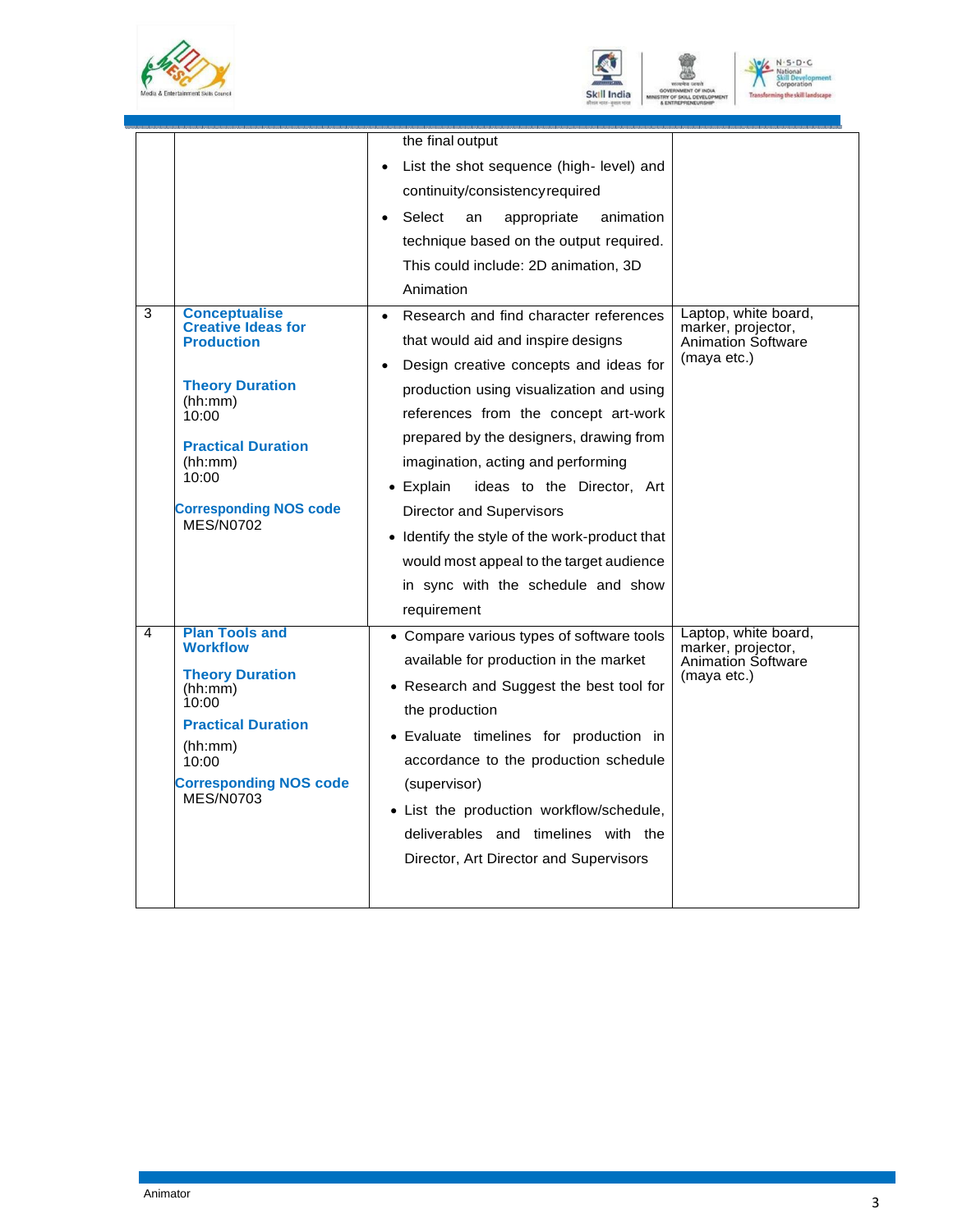





|                                                                                                                                                      | the final output                                                                                                                                                                                                                                                                                                                                                                  |                                                                                                                                                                                                        |
|------------------------------------------------------------------------------------------------------------------------------------------------------|-----------------------------------------------------------------------------------------------------------------------------------------------------------------------------------------------------------------------------------------------------------------------------------------------------------------------------------------------------------------------------------|--------------------------------------------------------------------------------------------------------------------------------------------------------------------------------------------------------|
|                                                                                                                                                      | List the shot sequence (high- level) and                                                                                                                                                                                                                                                                                                                                          |                                                                                                                                                                                                        |
|                                                                                                                                                      | continuity/consistency required                                                                                                                                                                                                                                                                                                                                                   |                                                                                                                                                                                                        |
|                                                                                                                                                      | animation<br>Select<br>an<br>appropriate                                                                                                                                                                                                                                                                                                                                          |                                                                                                                                                                                                        |
|                                                                                                                                                      | technique based on the output required.                                                                                                                                                                                                                                                                                                                                           |                                                                                                                                                                                                        |
|                                                                                                                                                      | This could include: 2D animation, 3D                                                                                                                                                                                                                                                                                                                                              |                                                                                                                                                                                                        |
|                                                                                                                                                      | Animation                                                                                                                                                                                                                                                                                                                                                                         |                                                                                                                                                                                                        |
| <b>Creative Ideas for</b><br><b>Production</b>                                                                                                       | that would aid and inspire designs<br>Design creative concepts and ideas for<br>$\bullet$                                                                                                                                                                                                                                                                                         | Laptop, white board,<br>marker, projector,<br><b>Animation Software</b><br>(maya etc.)                                                                                                                 |
| (hh:mm)                                                                                                                                              |                                                                                                                                                                                                                                                                                                                                                                                   |                                                                                                                                                                                                        |
|                                                                                                                                                      | references from the concept art-work                                                                                                                                                                                                                                                                                                                                              |                                                                                                                                                                                                        |
| <b>Practical Duration</b>                                                                                                                            |                                                                                                                                                                                                                                                                                                                                                                                   |                                                                                                                                                                                                        |
|                                                                                                                                                      |                                                                                                                                                                                                                                                                                                                                                                                   |                                                                                                                                                                                                        |
|                                                                                                                                                      | • Explain<br>ideas to the Director, Art                                                                                                                                                                                                                                                                                                                                           |                                                                                                                                                                                                        |
|                                                                                                                                                      |                                                                                                                                                                                                                                                                                                                                                                                   |                                                                                                                                                                                                        |
|                                                                                                                                                      | • Identify the style of the work-product that                                                                                                                                                                                                                                                                                                                                     |                                                                                                                                                                                                        |
|                                                                                                                                                      | would most appeal to the target audience                                                                                                                                                                                                                                                                                                                                          |                                                                                                                                                                                                        |
|                                                                                                                                                      | in sync with the schedule and show                                                                                                                                                                                                                                                                                                                                                |                                                                                                                                                                                                        |
|                                                                                                                                                      | requirement                                                                                                                                                                                                                                                                                                                                                                       |                                                                                                                                                                                                        |
| <b>Plan Tools and</b><br><b>Workflow</b><br><b>Theory Duration</b><br><b>Practical Duration</b><br><b>Corresponding NOS code</b><br><b>MES/N0703</b> | • Compare various types of software tools<br>available for production in the market<br>• Research and Suggest the best tool for<br>the production<br>· Evaluate timelines for production in<br>accordance to the production schedule<br>(supervisor)<br>• List the production workflow/schedule,<br>deliverables and timelines with the<br>Director, Art Director and Supervisors | Laptop, white board,<br>marker, projector,<br>Animation Software<br>(maya etc.)                                                                                                                        |
|                                                                                                                                                      | <b>Conceptualise</b><br><b>Theory Duration</b><br><b>Corresponding NOS code</b><br><b>MES/N0702</b>                                                                                                                                                                                                                                                                               | Research and find character references<br>production using visualization and using<br>prepared by the designers, drawing from<br>imagination, acting and performing<br><b>Director and Supervisors</b> |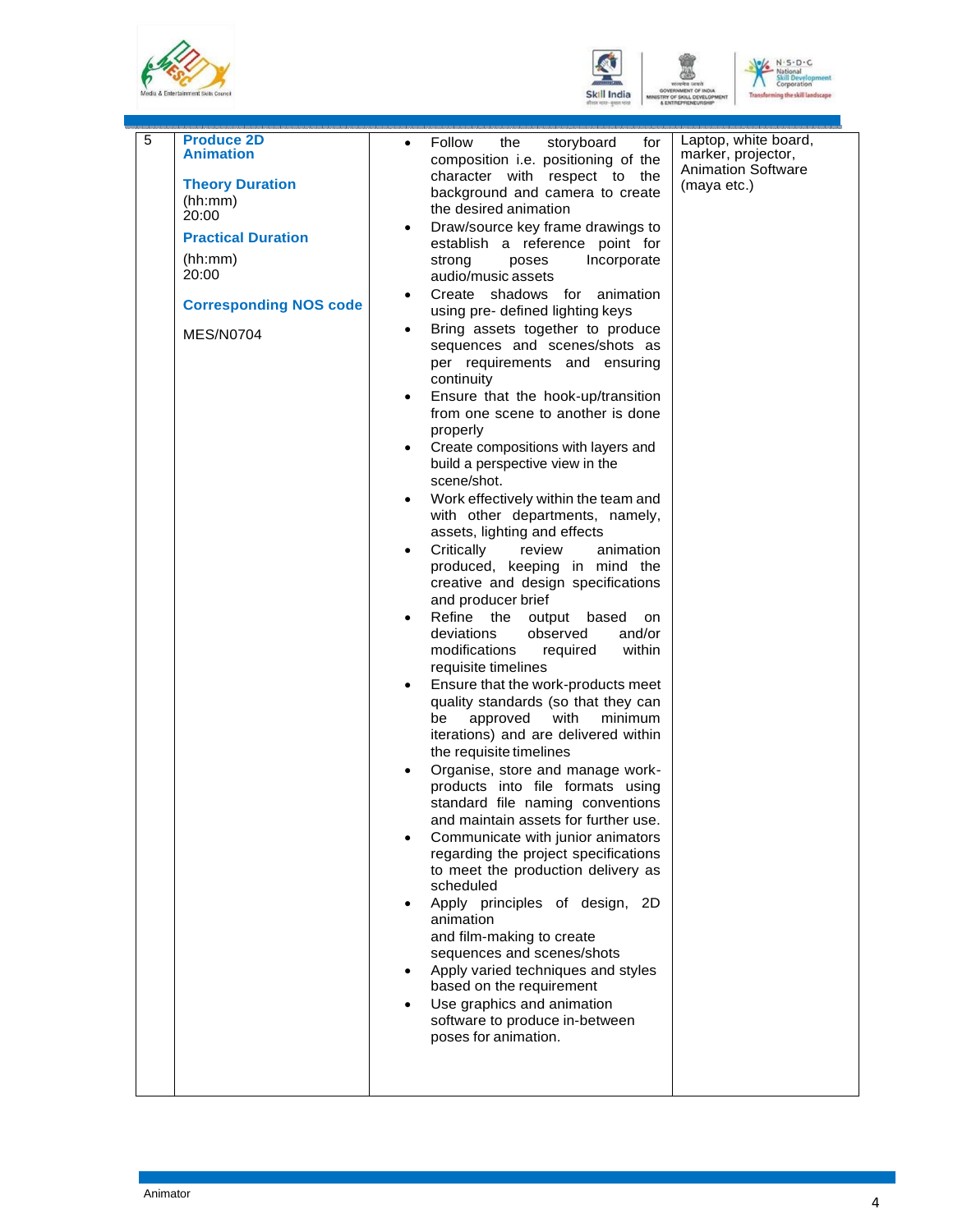





xr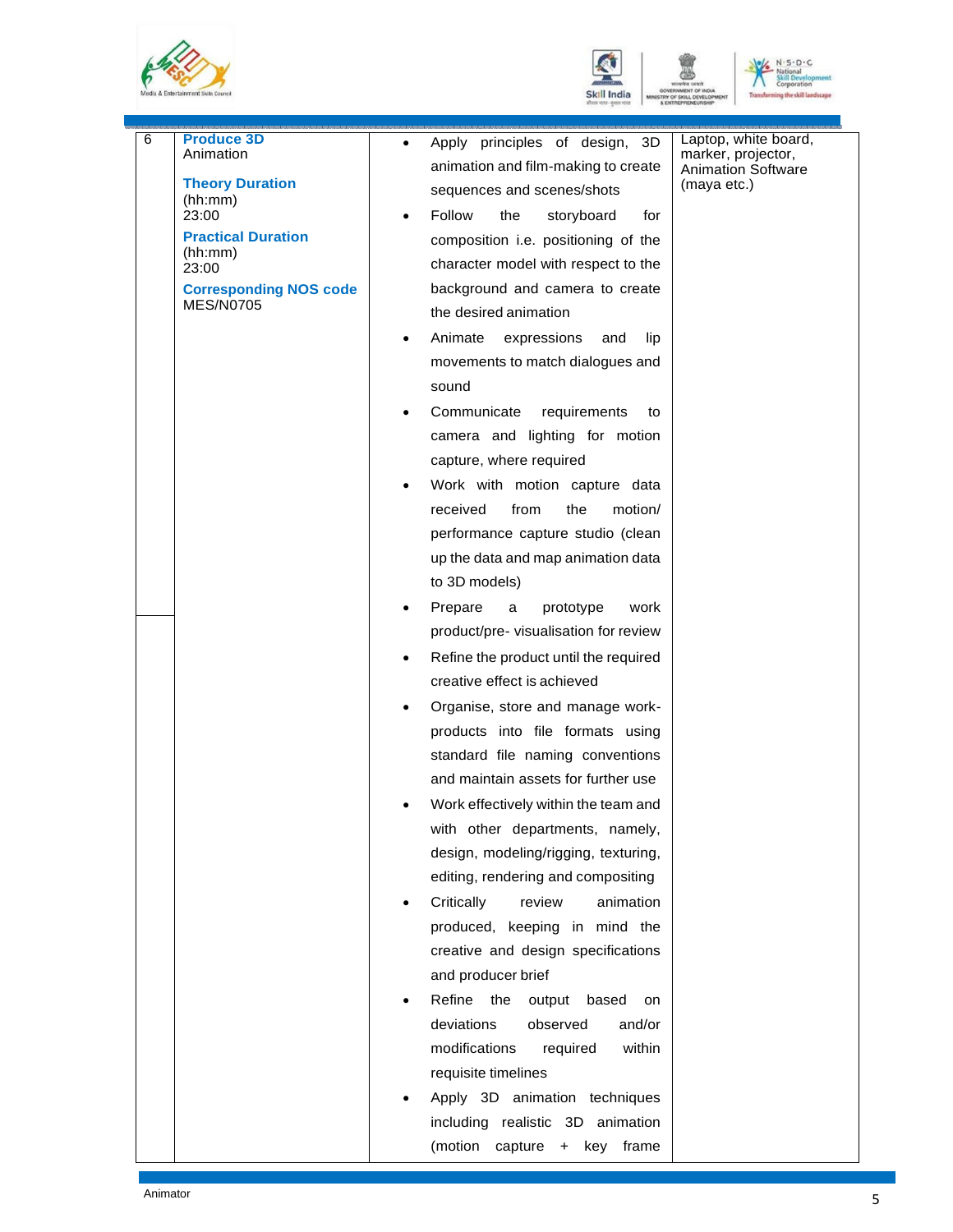



鴓



| 6 | <b>Produce 3D</b><br>Animation                    |   | Apply principles of design, 3D         | Laptop, white board,<br>marker, projector, |
|---|---------------------------------------------------|---|----------------------------------------|--------------------------------------------|
|   |                                                   |   | animation and film-making to create    | <b>Animation Software</b>                  |
|   | <b>Theory Duration</b>                            |   | sequences and scenes/shots             | (maya etc.)                                |
|   | (hh:mm)<br>23:00                                  |   | Follow<br>the<br>storyboard<br>for     |                                            |
|   | <b>Practical Duration</b>                         |   | composition i.e. positioning of the    |                                            |
|   | (hh:mm)                                           |   | character model with respect to the    |                                            |
|   | 23:00                                             |   |                                        |                                            |
|   | <b>Corresponding NOS code</b><br><b>MES/N0705</b> |   | background and camera to create        |                                            |
|   |                                                   |   | the desired animation                  |                                            |
|   |                                                   |   | Animate<br>expressions<br>and<br>lip   |                                            |
|   |                                                   |   | movements to match dialogues and       |                                            |
|   |                                                   |   | sound                                  |                                            |
|   |                                                   |   | Communicate<br>requirements<br>to      |                                            |
|   |                                                   |   | camera and lighting for motion         |                                            |
|   |                                                   |   | capture, where required                |                                            |
|   |                                                   |   | Work with motion capture data          |                                            |
|   |                                                   |   | from<br>the<br>received<br>motion/     |                                            |
|   |                                                   |   |                                        |                                            |
|   |                                                   |   | performance capture studio (clean      |                                            |
|   |                                                   |   | up the data and map animation data     |                                            |
|   |                                                   |   | to 3D models)                          |                                            |
|   |                                                   |   | Prepare<br>a<br>prototype<br>work      |                                            |
|   |                                                   |   | product/pre- visualisation for review  |                                            |
|   |                                                   | ٠ | Refine the product until the required  |                                            |
|   |                                                   |   | creative effect is achieved            |                                            |
|   |                                                   |   | Organise, store and manage work-       |                                            |
|   |                                                   |   | products into file formats using       |                                            |
|   |                                                   |   | standard file naming conventions       |                                            |
|   |                                                   |   | and maintain assets for further use    |                                            |
|   |                                                   |   | Work effectively within the team and   |                                            |
|   |                                                   |   | with other departments, namely,        |                                            |
|   |                                                   |   |                                        |                                            |
|   |                                                   |   | design, modeling/rigging, texturing,   |                                            |
|   |                                                   |   | editing, rendering and compositing     |                                            |
|   |                                                   |   | Critically<br>review<br>animation      |                                            |
|   |                                                   |   | produced, keeping in mind the          |                                            |
|   |                                                   |   | creative and design specifications     |                                            |
|   |                                                   |   | and producer brief                     |                                            |
|   |                                                   |   | Refine<br>the<br>output<br>based<br>on |                                            |
|   |                                                   |   | deviations<br>observed<br>and/or       |                                            |
|   |                                                   |   | modifications<br>within<br>required    |                                            |
|   |                                                   |   | requisite timelines                    |                                            |
|   |                                                   |   | Apply 3D animation techniques          |                                            |
|   |                                                   |   | including realistic 3D animation       |                                            |
|   |                                                   |   | (motion<br>capture<br>key frame        |                                            |
|   |                                                   |   | $+$                                    |                                            |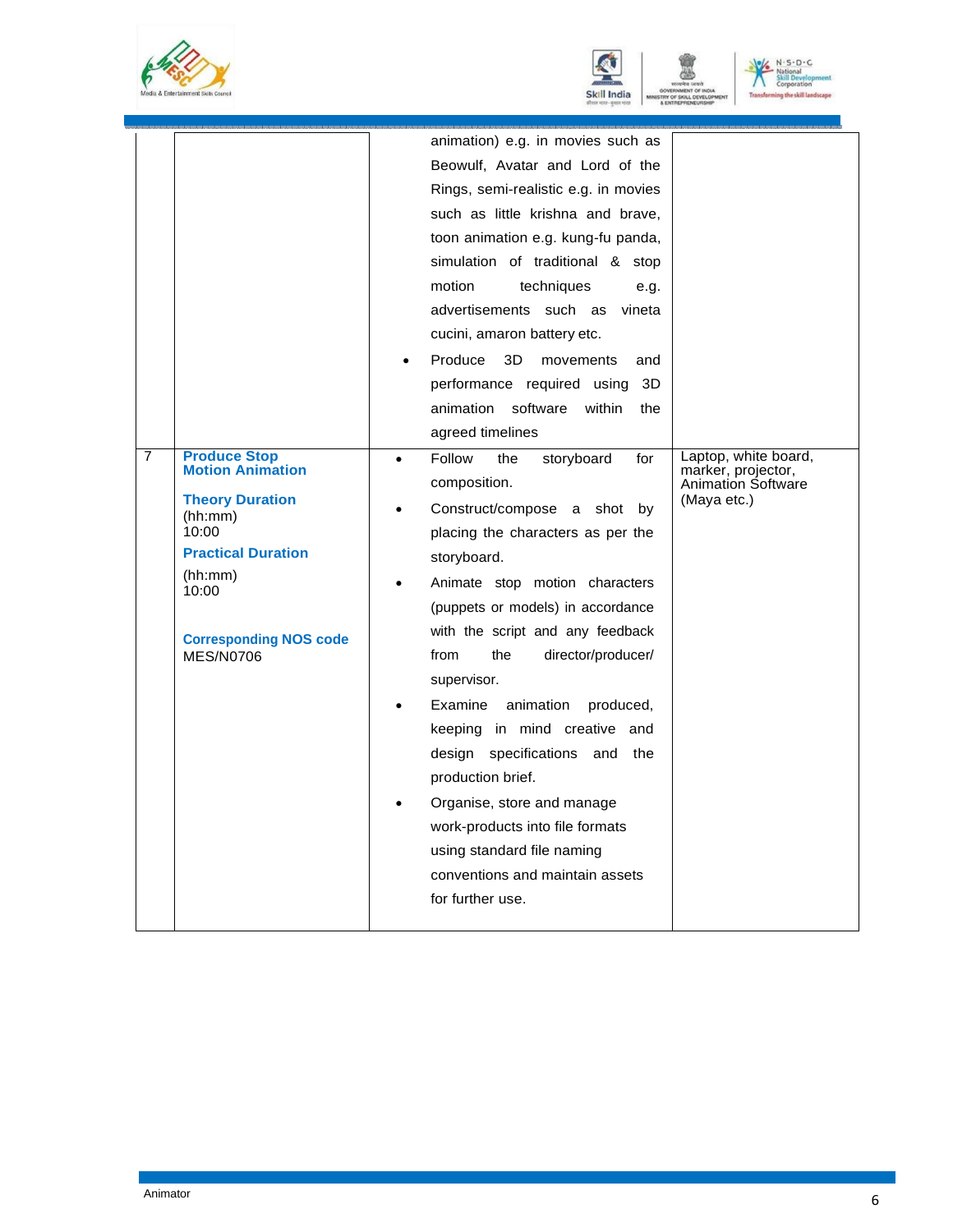





|                                                                                                                                                                                                         | animation) e.g. in movies such as<br>Beowulf, Avatar and Lord of the<br>Rings, semi-realistic e.g. in movies<br>such as little krishna and brave,<br>toon animation e.g. kung-fu panda,<br>simulation of traditional & stop<br>motion<br>techniques<br>e.g.<br>advertisements such as vineta<br>cucini, amaron battery etc.<br>Produce<br>3D<br>movements<br>and<br>performance required using<br>3D<br>animation software<br>within<br>the<br>agreed timelines                                                                                                                                                 |                                                                                 |
|---------------------------------------------------------------------------------------------------------------------------------------------------------------------------------------------------------|-----------------------------------------------------------------------------------------------------------------------------------------------------------------------------------------------------------------------------------------------------------------------------------------------------------------------------------------------------------------------------------------------------------------------------------------------------------------------------------------------------------------------------------------------------------------------------------------------------------------|---------------------------------------------------------------------------------|
| 7<br><b>Produce Stop</b><br><b>Motion Animation</b><br><b>Theory Duration</b><br>(hh:mm)<br>10:00<br><b>Practical Duration</b><br>(hh:mm)<br>10:00<br><b>Corresponding NOS code</b><br><b>MES/N0706</b> | Follow<br>the<br>storyboard<br>for<br>$\bullet$<br>composition.<br>Construct/compose a shot by<br>$\bullet$<br>placing the characters as per the<br>storyboard.<br>Animate stop motion characters<br>(puppets or models) in accordance<br>with the script and any feedback<br>from<br>the<br>director/producer/<br>supervisor.<br>Examine<br>animation<br>produced,<br>keeping in mind creative and<br>design specifications and the<br>production brief.<br>Organise, store and manage<br>work-products into file formats<br>using standard file naming<br>conventions and maintain assets<br>for further use. | Laptop, white board,<br>marker, projector,<br>Animation Software<br>(Maya etc.) |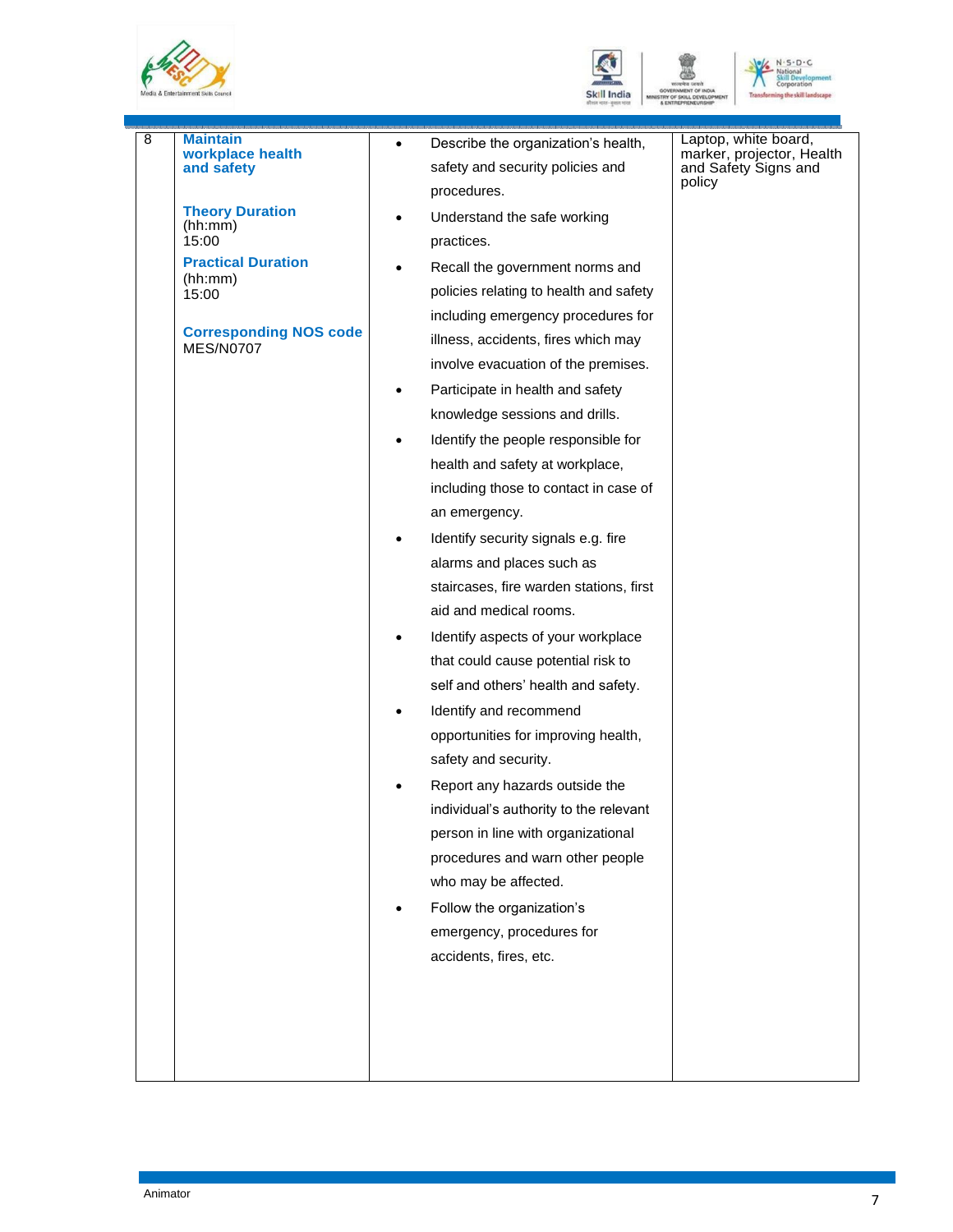





| 8 | <b>Maintain</b><br>workplace health<br>and safety<br><b>Theory Duration</b><br>(hh:mm)<br>15:00<br><b>Practical Duration</b><br>(hh:mm)<br>15:00<br><b>Corresponding NOS code</b><br>MES/N0707 | Describe the organization's health,<br>safety and security policies and<br>procedures.<br>Understand the safe working<br>practices.<br>Recall the government norms and<br>policies relating to health and safety<br>including emergency procedures for<br>illness, accidents, fires which may<br>involve evacuation of the premises.<br>Participate in health and safety<br>knowledge sessions and drills.<br>Identify the people responsible for<br>health and safety at workplace,<br>including those to contact in case of<br>an emergency.<br>Identify security signals e.g. fire<br>alarms and places such as<br>staircases, fire warden stations, first<br>aid and medical rooms.<br>Identify aspects of your workplace<br>that could cause potential risk to<br>self and others' health and safety.<br>Identify and recommend<br>opportunities for improving health,<br>safety and security.<br>Report any hazards outside the<br>individual's authority to the relevant<br>person in line with organizational<br>procedures and warn other people<br>who may be affected.<br>Follow the organization's<br>emergency, procedures for<br>accidents, fires, etc. | Laptop, white board,<br>marker, projector, Health<br>and Safety Signs and<br>policy |
|---|------------------------------------------------------------------------------------------------------------------------------------------------------------------------------------------------|-----------------------------------------------------------------------------------------------------------------------------------------------------------------------------------------------------------------------------------------------------------------------------------------------------------------------------------------------------------------------------------------------------------------------------------------------------------------------------------------------------------------------------------------------------------------------------------------------------------------------------------------------------------------------------------------------------------------------------------------------------------------------------------------------------------------------------------------------------------------------------------------------------------------------------------------------------------------------------------------------------------------------------------------------------------------------------------------------------------------------------------------------------------------------|-------------------------------------------------------------------------------------|
|   |                                                                                                                                                                                                |                                                                                                                                                                                                                                                                                                                                                                                                                                                                                                                                                                                                                                                                                                                                                                                                                                                                                                                                                                                                                                                                                                                                                                       |                                                                                     |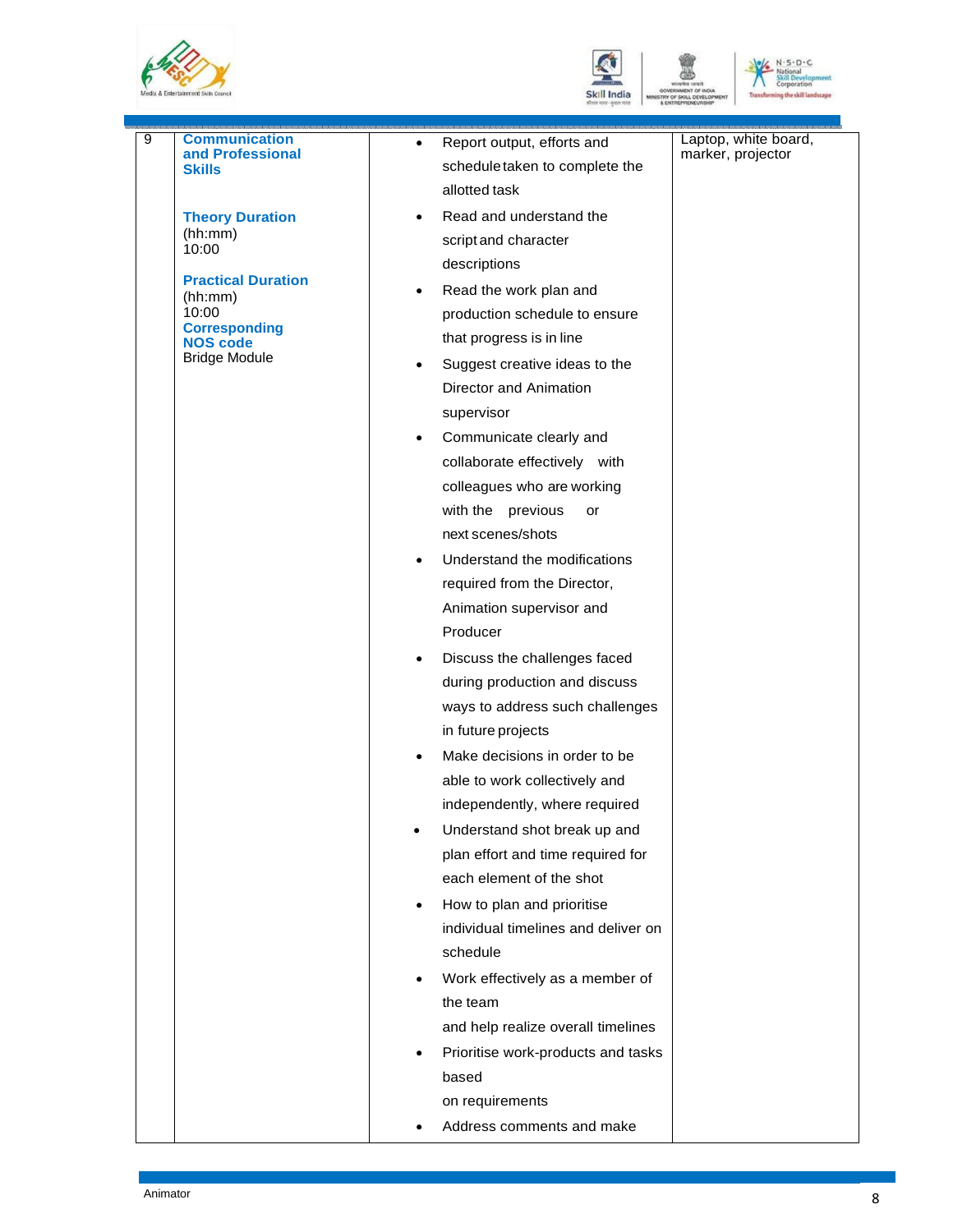





| 9 | <b>Communication</b><br>and Professional | Report output, efforts and                      | Laptop, white board,<br>marker, projector |
|---|------------------------------------------|-------------------------------------------------|-------------------------------------------|
|   | <b>Skills</b>                            | schedule taken to complete the                  |                                           |
|   |                                          | allotted task                                   |                                           |
|   | <b>Theory Duration</b>                   | Read and understand the                         |                                           |
|   | (hh:mm)<br>10:00                         | script and character                            |                                           |
|   |                                          | descriptions                                    |                                           |
|   | <b>Practical Duration</b><br>(hh:mm)     | Read the work plan and                          |                                           |
|   | 10:00                                    | production schedule to ensure                   |                                           |
|   | <b>Corresponding</b><br><b>NOS code</b>  | that progress is in line                        |                                           |
|   | <b>Bridge Module</b>                     | Suggest creative ideas to the                   |                                           |
|   |                                          | Director and Animation                          |                                           |
|   |                                          | supervisor                                      |                                           |
|   |                                          | Communicate clearly and                         |                                           |
|   |                                          | collaborate effectively with                    |                                           |
|   |                                          | colleagues who are working                      |                                           |
|   |                                          | with the previous<br>or                         |                                           |
|   |                                          | next scenes/shots                               |                                           |
|   |                                          | Understand the modifications                    |                                           |
|   |                                          | required from the Director,                     |                                           |
|   |                                          | Animation supervisor and                        |                                           |
|   |                                          | Producer                                        |                                           |
|   |                                          | Discuss the challenges faced<br>$\bullet$       |                                           |
|   |                                          | during production and discuss                   |                                           |
|   |                                          | ways to address such challenges                 |                                           |
|   |                                          | in future projects                              |                                           |
|   |                                          | Make decisions in order to be                   |                                           |
|   |                                          | able to work collectively and                   |                                           |
|   |                                          | independently, where required                   |                                           |
|   |                                          | Understand shot break up and                    |                                           |
|   |                                          | plan effort and time required for               |                                           |
|   |                                          | each element of the shot                        |                                           |
|   |                                          | How to plan and prioritise<br>٠                 |                                           |
|   |                                          | individual timelines and deliver on             |                                           |
|   |                                          | schedule                                        |                                           |
|   |                                          | Work effectively as a member of                 |                                           |
|   |                                          | the team                                        |                                           |
|   |                                          | and help realize overall timelines              |                                           |
|   |                                          | Prioritise work-products and tasks<br>$\bullet$ |                                           |
|   |                                          | based                                           |                                           |
|   |                                          | on requirements                                 |                                           |
|   |                                          | Address comments and make                       |                                           |
|   |                                          |                                                 |                                           |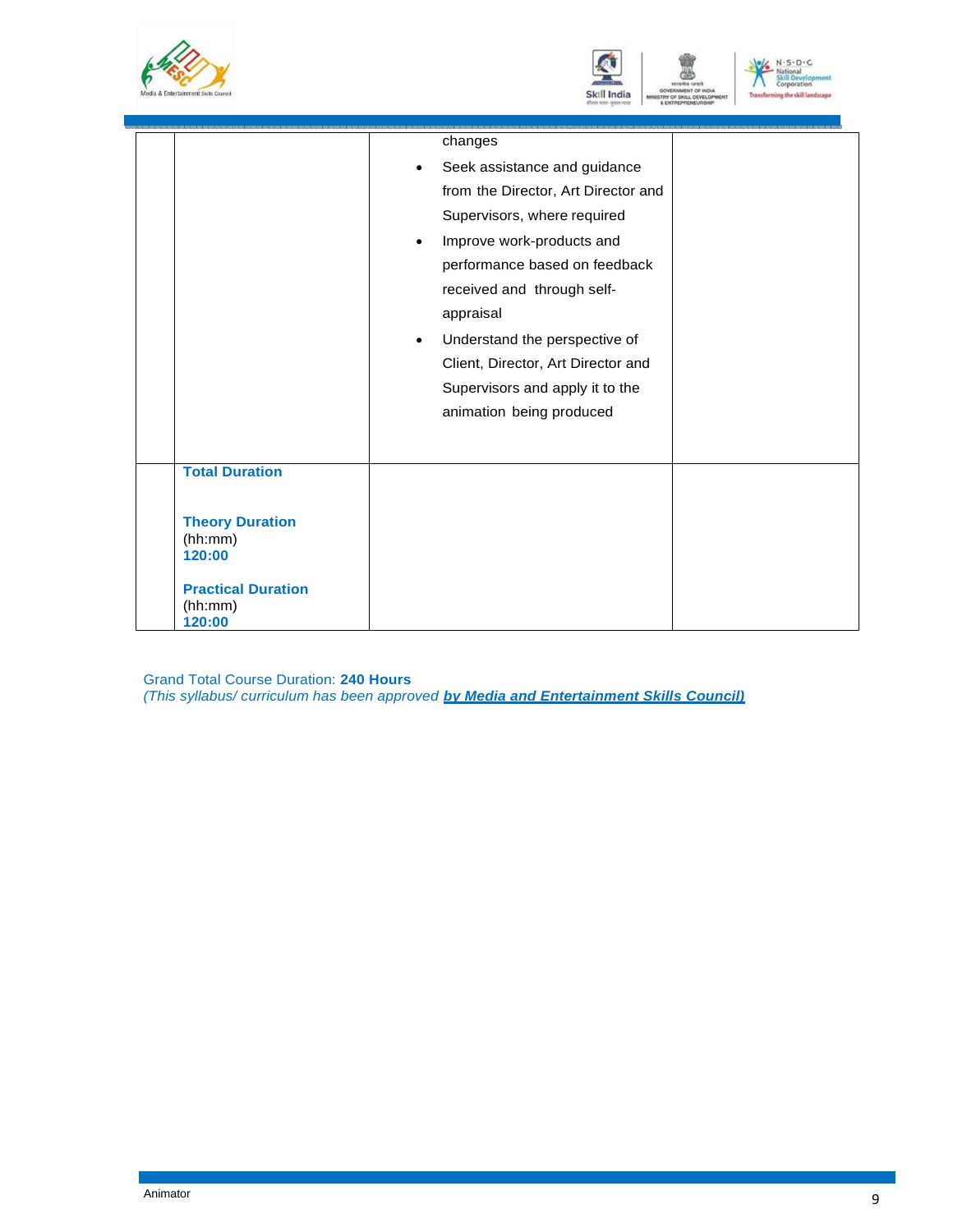





|                           | changes                                    |  |
|---------------------------|--------------------------------------------|--|
|                           | Seek assistance and guidance<br>$\bullet$  |  |
|                           | from the Director, Art Director and        |  |
|                           | Supervisors, where required                |  |
|                           | Improve work-products and<br>$\bullet$     |  |
|                           | performance based on feedback              |  |
|                           | received and through self-                 |  |
|                           | appraisal                                  |  |
|                           | Understand the perspective of<br>$\bullet$ |  |
|                           | Client, Director, Art Director and         |  |
|                           | Supervisors and apply it to the            |  |
|                           | animation being produced                   |  |
|                           |                                            |  |
| <b>Total Duration</b>     |                                            |  |
|                           |                                            |  |
| <b>Theory Duration</b>    |                                            |  |
|                           |                                            |  |
| (hh:mm)<br>120:00         |                                            |  |
|                           |                                            |  |
| <b>Practical Duration</b> |                                            |  |
| (hh:mm)                   |                                            |  |
| 120:00                    |                                            |  |

Grand Total Course Duration: **240 Hours**

*(This syllabus/ curriculum has been approved by Media and Entertainment Skills Council)*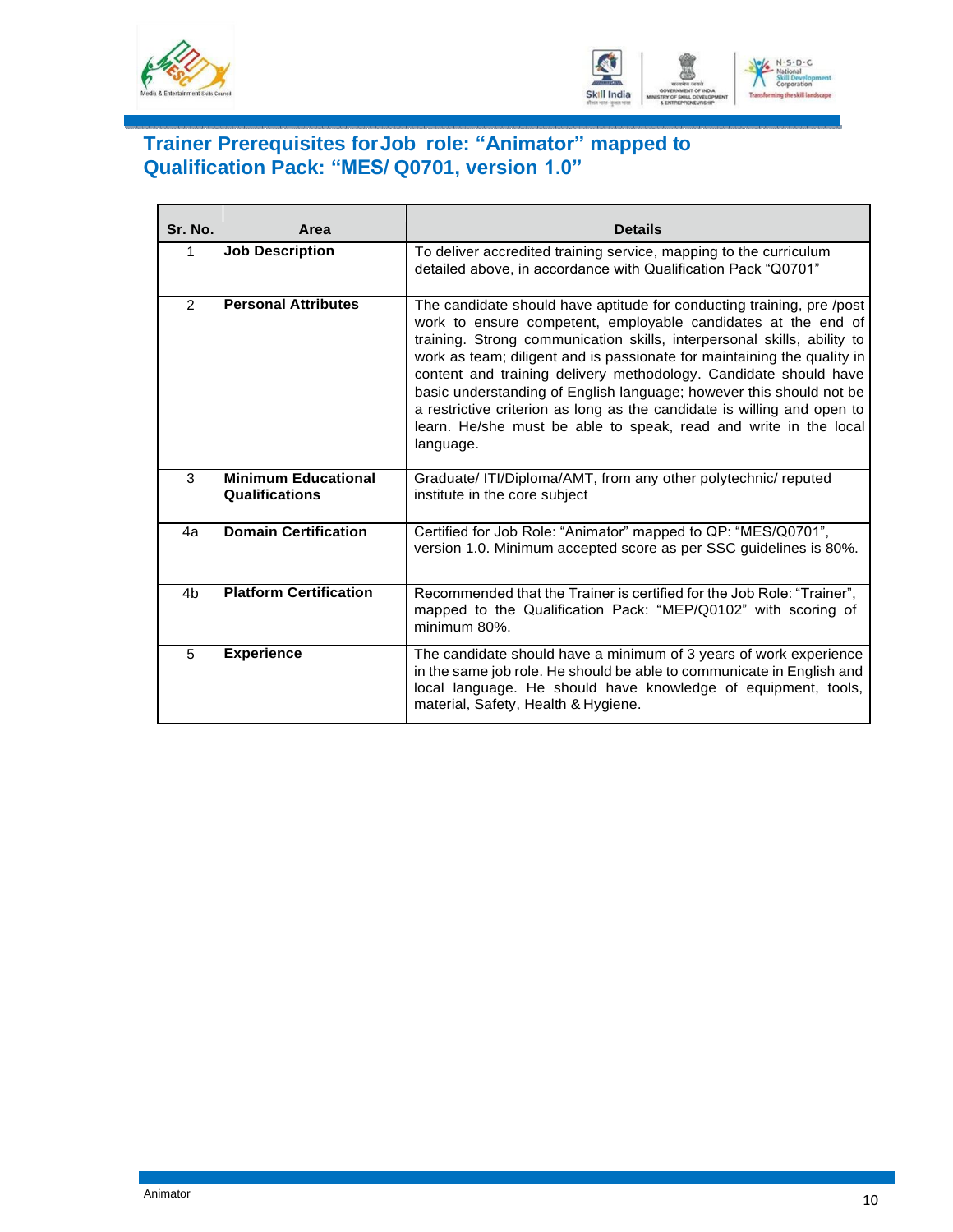



### <span id="page-12-0"></span>**Trainer Prerequisites forJob role: "Animator" mapped to Qualification Pack: "MES/ Q0701, version 1.0"**

| Sr. No.        | Area                                         | <b>Details</b>                                                                                                                                                                                                                                                                                                                                                                                                                                                                                                                                                                                      |
|----------------|----------------------------------------------|-----------------------------------------------------------------------------------------------------------------------------------------------------------------------------------------------------------------------------------------------------------------------------------------------------------------------------------------------------------------------------------------------------------------------------------------------------------------------------------------------------------------------------------------------------------------------------------------------------|
| 1              | <b>Job Description</b>                       | To deliver accredited training service, mapping to the curriculum<br>detailed above, in accordance with Qualification Pack "Q0701"                                                                                                                                                                                                                                                                                                                                                                                                                                                                  |
| 2              | <b>Personal Attributes</b>                   | The candidate should have aptitude for conducting training, pre /post<br>work to ensure competent, employable candidates at the end of<br>training. Strong communication skills, interpersonal skills, ability to<br>work as team; diligent and is passionate for maintaining the quality in<br>content and training delivery methodology. Candidate should have<br>basic understanding of English language; however this should not be<br>a restrictive criterion as long as the candidate is willing and open to<br>learn. He/she must be able to speak, read and write in the local<br>language. |
| 3              | <b>Minimum Educational</b><br>Qualifications | Graduate/ ITI/Diploma/AMT, from any other polytechnic/ reputed<br>institute in the core subject                                                                                                                                                                                                                                                                                                                                                                                                                                                                                                     |
| 4a             | Domain Certification                         | Certified for Job Role: "Animator" mapped to QP: "MES/Q0701",<br>version 1.0. Minimum accepted score as per SSC quidelines is 80%.                                                                                                                                                                                                                                                                                                                                                                                                                                                                  |
| 4 <sub>b</sub> | <b>Platform Certification</b>                | Recommended that the Trainer is certified for the Job Role: "Trainer".<br>mapped to the Qualification Pack: "MEP/Q0102" with scoring of<br>minimum 80%.                                                                                                                                                                                                                                                                                                                                                                                                                                             |
| 5              | <b>Experience</b>                            | The candidate should have a minimum of 3 years of work experience<br>in the same job role. He should be able to communicate in English and<br>local language. He should have knowledge of equipment, tools,<br>material, Safety, Health & Hygiene.                                                                                                                                                                                                                                                                                                                                                  |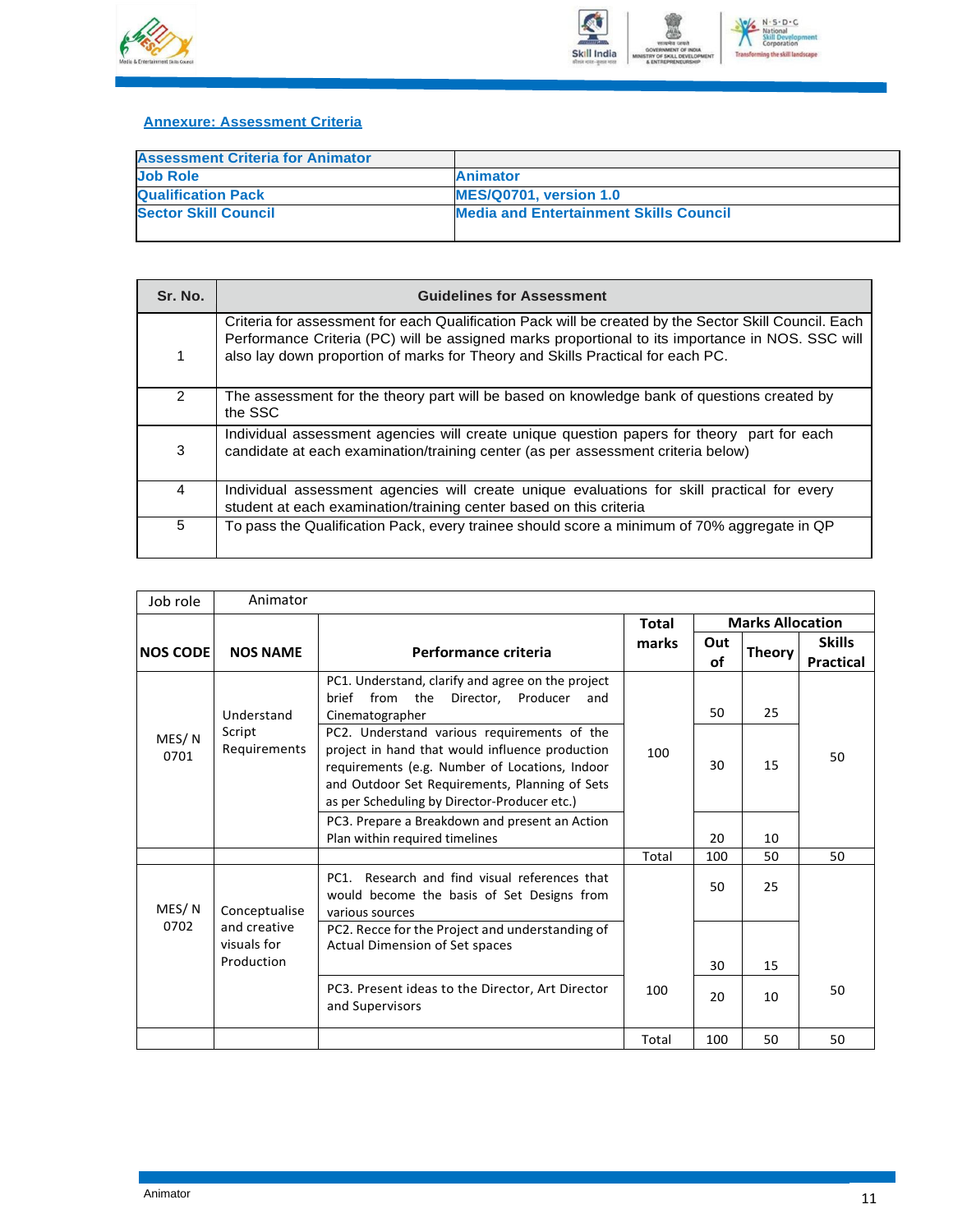



#### <span id="page-13-0"></span>**Annexure: Assessment Criteria**

| <b>Assessment Criteria for Animator</b> |                                               |
|-----------------------------------------|-----------------------------------------------|
| <b>Job Role</b>                         | <b>Animator</b>                               |
| <b>Qualification Pack</b>               | <b>MES/Q0701, version 1.0</b>                 |
| <b>Sector Skill Council</b>             | <b>Media and Entertainment Skills Council</b> |

| Sr. No.       | <b>Guidelines for Assessment</b>                                                                                                                                                                                                                                                            |
|---------------|---------------------------------------------------------------------------------------------------------------------------------------------------------------------------------------------------------------------------------------------------------------------------------------------|
| 1             | Criteria for assessment for each Qualification Pack will be created by the Sector Skill Council. Each<br>Performance Criteria (PC) will be assigned marks proportional to its importance in NOS. SSC will<br>also lay down proportion of marks for Theory and Skills Practical for each PC. |
| $\mathcal{P}$ | The assessment for the theory part will be based on knowledge bank of questions created by<br>the SSC                                                                                                                                                                                       |
| 3             | Individual assessment agencies will create unique question papers for theory part for each<br>candidate at each examination/training center (as per assessment criteria below)                                                                                                              |
| 4             | Individual assessment agencies will create unique evaluations for skill practical for every<br>student at each examination/training center based on this criteria                                                                                                                           |
| 5             | To pass the Qualification Pack, every trainee should score a minimum of 70% aggregate in QP                                                                                                                                                                                                 |

| Job role        | Animator                    |                                                                                                                                                                                                                                                    |              |                         |               |                                   |
|-----------------|-----------------------------|----------------------------------------------------------------------------------------------------------------------------------------------------------------------------------------------------------------------------------------------------|--------------|-------------------------|---------------|-----------------------------------|
|                 |                             |                                                                                                                                                                                                                                                    | <b>Total</b> | <b>Marks Allocation</b> |               |                                   |
| <b>NOS CODE</b> | <b>NOS NAME</b>             | Performance criteria                                                                                                                                                                                                                               | marks        | Out<br>of               | <b>Theory</b> | <b>Skills</b><br><b>Practical</b> |
|                 | Understand                  | PC1. Understand, clarify and agree on the project<br>from the Director, Producer<br>brief<br>and<br>Cinematographer                                                                                                                                |              | 50                      | 25            |                                   |
| MES/N<br>0701   | Script<br>Requirements      | PC2. Understand various requirements of the<br>project in hand that would influence production<br>requirements (e.g. Number of Locations, Indoor<br>and Outdoor Set Requirements, Planning of Sets<br>as per Scheduling by Director-Producer etc.) | 100          | 30                      | 15            | 50                                |
|                 |                             | PC3. Prepare a Breakdown and present an Action<br>Plan within required timelines                                                                                                                                                                   |              | 20                      | 10            |                                   |
|                 |                             |                                                                                                                                                                                                                                                    | Total        | 100                     | 50            | 50                                |
| MES/N           | Conceptualise               | PC1. Research and find visual references that<br>would become the basis of Set Designs from<br>various sources                                                                                                                                     |              | 50                      | 25            |                                   |
| 0702            | and creative<br>visuals for | PC2. Recce for the Project and understanding of<br>Actual Dimension of Set spaces                                                                                                                                                                  |              |                         |               |                                   |
|                 | Production                  |                                                                                                                                                                                                                                                    |              | 30                      | 15            |                                   |
|                 |                             | PC3. Present ideas to the Director, Art Director<br>and Supervisors                                                                                                                                                                                | 100          | 20                      | 10            | 50                                |
|                 |                             |                                                                                                                                                                                                                                                    | Total        | 100                     | 50            | 50                                |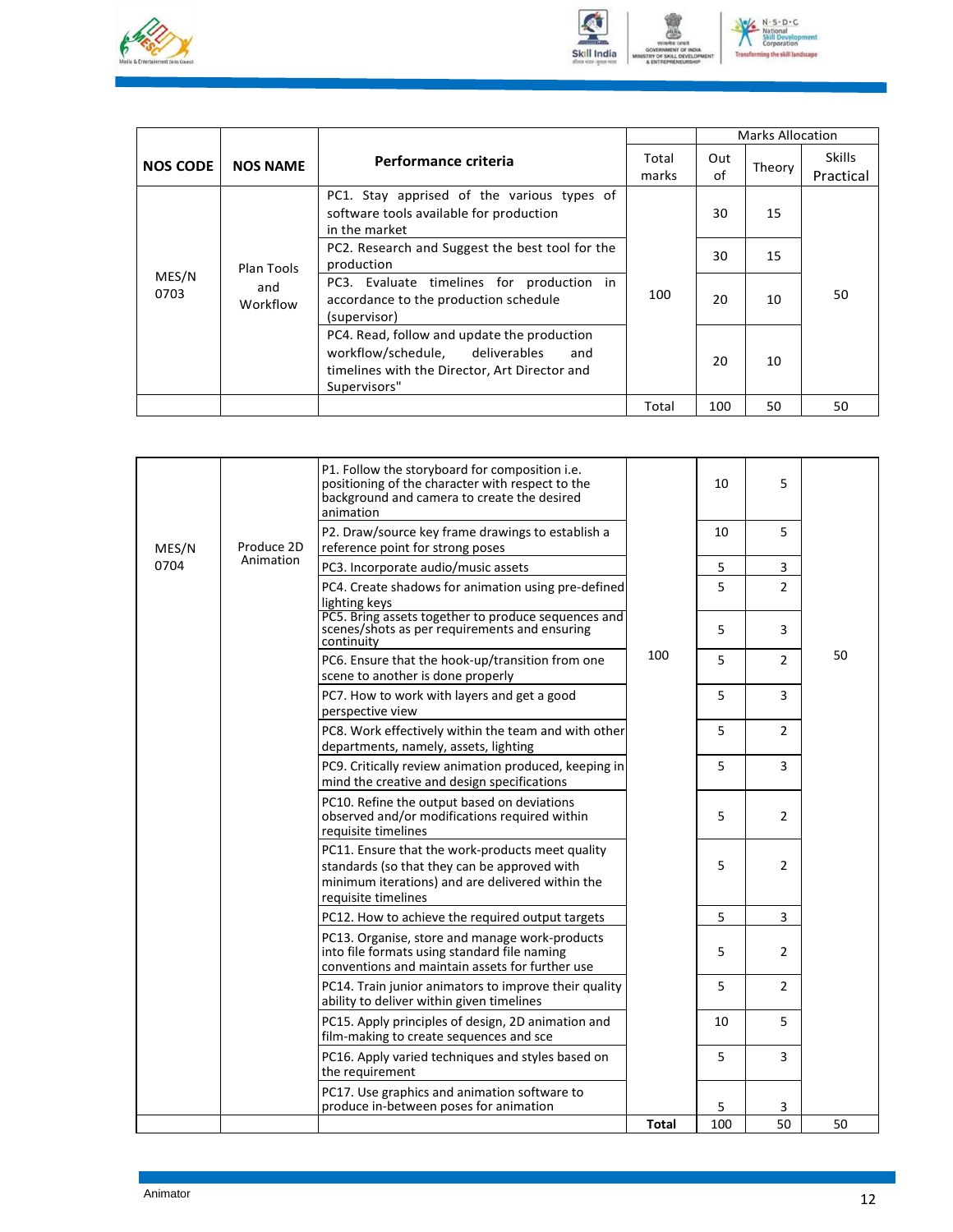



|                 |                               |                                                                                                                                                        |                |           | <b>Marks Allocation</b> |                            |
|-----------------|-------------------------------|--------------------------------------------------------------------------------------------------------------------------------------------------------|----------------|-----------|-------------------------|----------------------------|
| <b>NOS CODE</b> | <b>NOS NAME</b>               | Performance criteria                                                                                                                                   | Total<br>marks | Out<br>of | Theory                  | <b>Skills</b><br>Practical |
| MES/N<br>0703   | Plan Tools<br>and<br>Workflow | PC1. Stay apprised of the various types of<br>software tools available for production<br>in the market                                                 | 100            | 30        | 15                      | 50                         |
|                 |                               | PC2. Research and Suggest the best tool for the<br>production                                                                                          |                | 30        | 15                      |                            |
|                 |                               | PC3. Evaluate timelines for production in<br>accordance to the production schedule<br>(supervisor)                                                     |                | 20        | 10                      |                            |
|                 |                               | PC4. Read, follow and update the production<br>workflow/schedule, deliverables<br>and<br>timelines with the Director, Art Director and<br>Supervisors" |                | 20        | 10                      |                            |
|                 |                               |                                                                                                                                                        | Total          | 100       | 50                      | 50                         |

|       |            | P1. Follow the storyboard for composition i.e.<br>positioning of the character with respect to the<br>background and camera to create the desired<br>animation              |       | 10  | 5              |    |
|-------|------------|-----------------------------------------------------------------------------------------------------------------------------------------------------------------------------|-------|-----|----------------|----|
| MES/N | Produce 2D | P2. Draw/source key frame drawings to establish a<br>reference point for strong poses                                                                                       |       | 10  | 5              |    |
| 0704  | Animation  | PC3. Incorporate audio/music assets                                                                                                                                         |       | 5   | 3              |    |
|       |            | PC4. Create shadows for animation using pre-defined<br>lighting keys<br>PC5. Bring assets together to produce sequences and                                                 |       | 5   | $\overline{2}$ |    |
|       |            | scenes/shots as per requirements and ensuring<br>continuity                                                                                                                 |       | 5   | 3              |    |
|       |            | PC6. Ensure that the hook-up/transition from one<br>scene to another is done properly                                                                                       | 100   | 5   | $\overline{2}$ | 50 |
|       |            | PC7. How to work with layers and get a good<br>perspective view                                                                                                             |       | 5   | 3              |    |
|       |            | PC8. Work effectively within the team and with other<br>departments, namely, assets, lighting                                                                               |       | 5   | $\overline{2}$ |    |
|       |            | PC9. Critically review animation produced, keeping in<br>mind the creative and design specifications                                                                        |       | 5   | 3              |    |
|       |            | PC10. Refine the output based on deviations<br>observed and/or modifications required within<br>requisite timelines                                                         |       | 5   | 2              |    |
|       |            | PC11. Ensure that the work-products meet quality<br>standards (so that they can be approved with<br>minimum iterations) and are delivered within the<br>requisite timelines |       | 5   | 2              |    |
|       |            | PC12. How to achieve the required output targets                                                                                                                            |       | 5   | 3              |    |
|       |            | PC13. Organise, store and manage work-products<br>into file formats using standard file naming<br>conventions and maintain assets for further use                           |       | 5   | 2              |    |
|       |            | PC14. Train junior animators to improve their quality<br>ability to deliver within given timelines                                                                          |       | 5   | 2              |    |
|       |            | PC15. Apply principles of design, 2D animation and<br>film-making to create sequences and sce                                                                               |       | 10  | 5              |    |
|       |            | PC16. Apply varied techniques and styles based on<br>the requirement                                                                                                        |       | 5   | 3              |    |
|       |            | PC17. Use graphics and animation software to<br>produce in-between poses for animation                                                                                      |       | 5   | 3              |    |
|       |            |                                                                                                                                                                             | Total | 100 | 50             | 50 |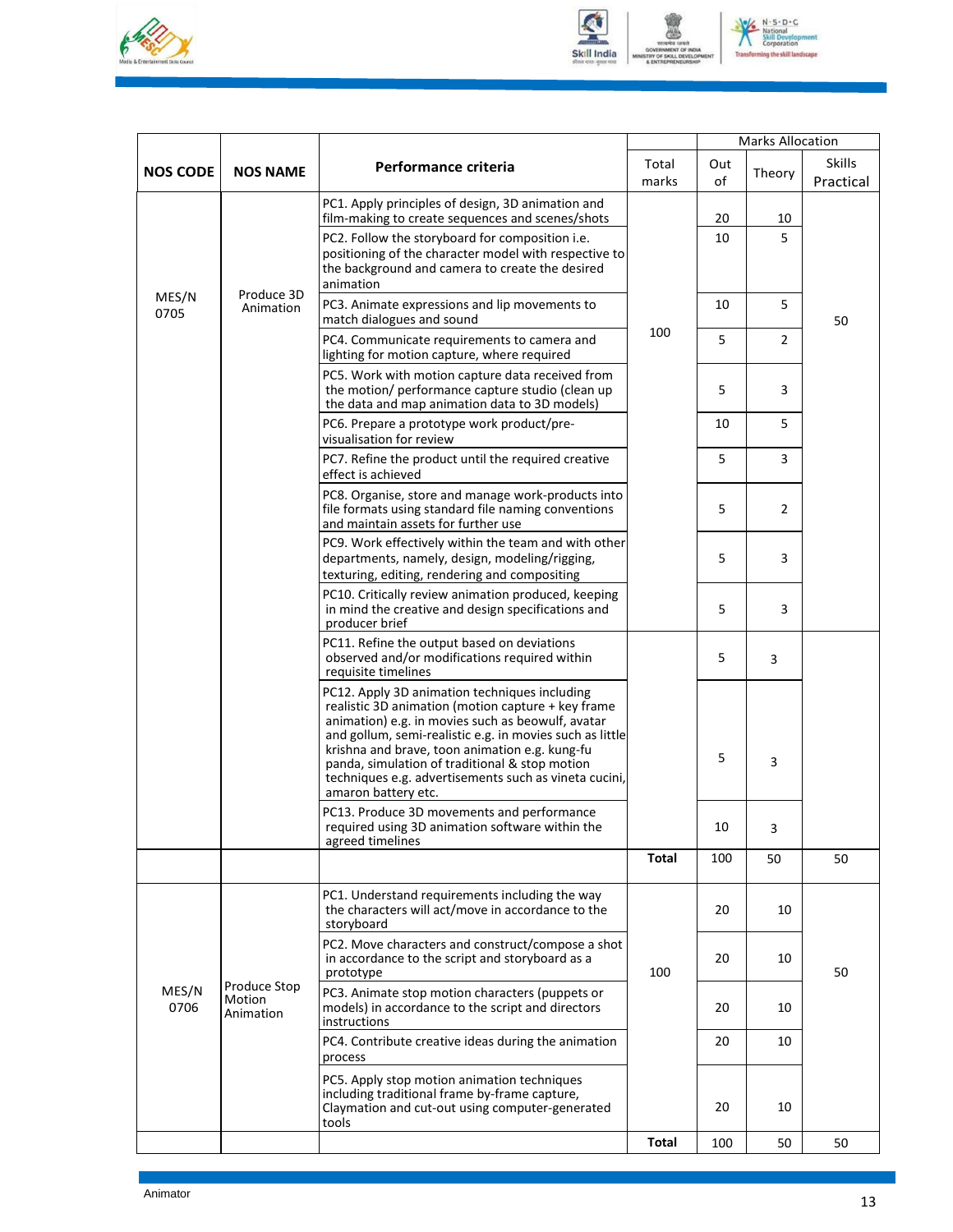



|                 |                                     |                                                                                                                                                                                                                                                                                                                                                                                                          |                |           | <b>Marks Allocation</b> |                            |
|-----------------|-------------------------------------|----------------------------------------------------------------------------------------------------------------------------------------------------------------------------------------------------------------------------------------------------------------------------------------------------------------------------------------------------------------------------------------------------------|----------------|-----------|-------------------------|----------------------------|
| <b>NOS CODE</b> | <b>NOS NAME</b>                     | Performance criteria                                                                                                                                                                                                                                                                                                                                                                                     | Total<br>marks | Out<br>of | Theory                  | <b>Skills</b><br>Practical |
|                 |                                     | PC1. Apply principles of design, 3D animation and<br>film-making to create sequences and scenes/shots                                                                                                                                                                                                                                                                                                    |                | 20        | 10                      |                            |
|                 |                                     | PC2. Follow the storyboard for composition i.e.<br>positioning of the character model with respective to<br>the background and camera to create the desired<br>animation                                                                                                                                                                                                                                 |                | 10        | 5                       |                            |
| MES/N<br>0705   | Produce 3D<br>Animation             | PC3. Animate expressions and lip movements to<br>match dialogues and sound                                                                                                                                                                                                                                                                                                                               |                | 10        | 5                       | 50                         |
|                 |                                     | PC4. Communicate requirements to camera and<br>lighting for motion capture, where required                                                                                                                                                                                                                                                                                                               | 100            | 5         | $\overline{2}$          |                            |
|                 |                                     | PC5. Work with motion capture data received from<br>the motion/ performance capture studio (clean up<br>the data and map animation data to 3D models)                                                                                                                                                                                                                                                    |                | 5         | 3                       |                            |
|                 |                                     | PC6. Prepare a prototype work product/pre-<br>visualisation for review                                                                                                                                                                                                                                                                                                                                   |                | 10        | 5                       |                            |
|                 |                                     | PC7. Refine the product until the required creative<br>effect is achieved                                                                                                                                                                                                                                                                                                                                |                | 5         | 3                       |                            |
|                 |                                     | PC8. Organise, store and manage work-products into<br>file formats using standard file naming conventions<br>and maintain assets for further use                                                                                                                                                                                                                                                         |                | 5         | $\overline{2}$          |                            |
|                 |                                     | PC9. Work effectively within the team and with other<br>departments, namely, design, modeling/rigging,<br>texturing, editing, rendering and compositing                                                                                                                                                                                                                                                  |                | 5         | 3                       |                            |
|                 |                                     | PC10. Critically review animation produced, keeping<br>in mind the creative and design specifications and<br>producer brief                                                                                                                                                                                                                                                                              |                | 5         | 3                       |                            |
|                 |                                     | PC11. Refine the output based on deviations<br>observed and/or modifications required within<br>requisite timelines                                                                                                                                                                                                                                                                                      |                | 5         | 3                       |                            |
|                 |                                     | PC12. Apply 3D animation techniques including<br>realistic 3D animation (motion capture + key frame<br>animation) e.g. in movies such as beowulf, avatar<br>and gollum, semi-realistic e.g. in movies such as little<br>krishna and brave, toon animation e.g. kung-fu<br>panda, simulation of traditional & stop motion<br>techniques e.g. advertisements such as vineta cucini,<br>amaron battery etc. |                | 5         | 3                       |                            |
|                 |                                     | PC13. Produce 3D movements and performance<br>required using 3D animation software within the<br>agreed timelines                                                                                                                                                                                                                                                                                        |                | 10        | 3                       |                            |
|                 |                                     |                                                                                                                                                                                                                                                                                                                                                                                                          | Total          | 100       | 50                      | 50                         |
|                 | Produce Stop<br>Motion<br>Animation | PC1. Understand requirements including the way<br>the characters will act/move in accordance to the<br>storyboard                                                                                                                                                                                                                                                                                        |                | 20        | 10                      |                            |
| MES/N<br>0706   |                                     | PC2. Move characters and construct/compose a shot<br>in accordance to the script and storyboard as a<br>prototype                                                                                                                                                                                                                                                                                        | 100            | 20        | 10                      | 50                         |
|                 |                                     | PC3. Animate stop motion characters (puppets or<br>models) in accordance to the script and directors<br>instructions                                                                                                                                                                                                                                                                                     |                | 20        | 10                      |                            |
|                 |                                     | PC4. Contribute creative ideas during the animation<br>process                                                                                                                                                                                                                                                                                                                                           |                | 20        | 10                      |                            |
|                 |                                     | PC5. Apply stop motion animation techniques<br>including traditional frame by-frame capture,<br>Claymation and cut-out using computer-generated<br>tools                                                                                                                                                                                                                                                 |                | 20        | 10                      |                            |
|                 |                                     |                                                                                                                                                                                                                                                                                                                                                                                                          | Total          | 100       | 50                      | 50                         |